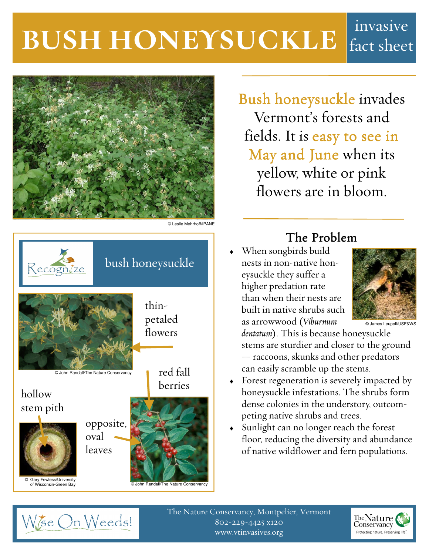# **BUSH HONEYSUCKLE** fact sheet fact sheet



© Leslie Mehrhoff/IPANE



Bush honeysuckle invades Vermont's forests and fields. It is easy to see in May and June when its yellow, white or pink flowers are in bloom.

## The Problem

When songbirds build nests in non-native honeysuckle they suffer a higher predation rate than when their nests are built in native shrubs such as arrowwood (*Viburnum* 



© James Leupoll/USF&WS

*dentatum*). This is because honeysuckle stems are sturdier and closer to the ground — raccoons, skunks and other predators can easily scramble up the stems.

- Forest regeneration is severely impacted by honeysuckle infestations. The shrubs form dense colonies in the understory, outcompeting native shrubs and trees.
- ♦ Sunlight can no longer reach the forest floor, reducing the diversity and abundance of native wildflower and fern populations.



The Nature Conservancy, Montpelier, Vermont 802-229-4425 x120 www.vtinvasives.org